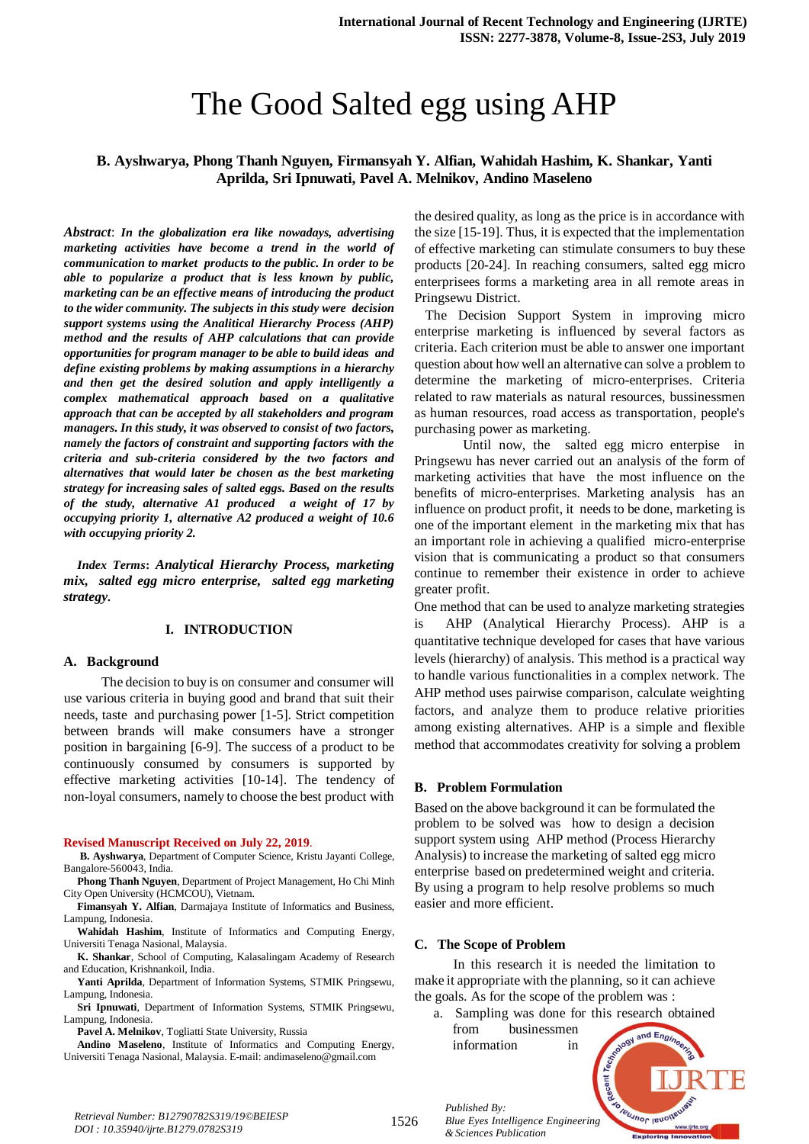# The Good Salted egg using AHP

# **B. Ayshwarya, Phong Thanh Nguyen, Firmansyah Y. Alfian, Wahidah Hashim, K. Shankar, Yanti Aprilda, Sri Ipnuwati, Pavel A. Melnikov, Andino Maseleno**

*Abstract*: *In the globalization era like nowadays, advertising marketing activities have become a trend in the world of communication to market products to the public. In order to be able to popularize a product that is less known by public, marketing can be an effective means of introducing the product to the wider community. The subjects in this study were decision support systems using the Analitical Hierarchy Process (AHP) method and the results of AHP calculations that can provide opportunities for program manager to be able to build ideas and define existing problems by making assumptions in a hierarchy and then get the desired solution and apply intelligently a complex mathematical approach based on a qualitative approach that can be accepted by all stakeholders and program managers. In this study, it was observed to consist of two factors, namely the factors of constraint and supporting factors with the criteria and sub-criteria considered by the two factors and alternatives that would later be chosen as the best marketing strategy for increasing sales of salted eggs. Based on the results of the study, alternative A1 produced a weight of 17 by occupying priority 1, alternative A2 produced a weight of 10.6 with occupying priority 2.*

*Index Terms***:** *Analytical Hierarchy Process, marketing mix, salted egg micro enterprise, salted egg marketing strategy.* 

#### **I. INTRODUCTION**

#### **A. Background**

The decision to buy is on consumer and consumer will use various criteria in buying good and brand that suit their needs, taste and purchasing power [1-5]. Strict competition between brands will make consumers have a stronger position in bargaining [6-9]. The success of a product to be continuously consumed by consumers is supported by effective marketing activities [10-14]. The tendency of non-loyal consumers, namely to choose the best product with

#### **Revised Manuscript Received on July 22, 2019**.

**B. Ayshwarya**, Department of Computer Science, Kristu Jayanti College, Bangalore-560043, India.

**Phong Thanh Nguyen**, Department of Project Management, Ho Chi Minh City Open University (HCMCOU), Vietnam.

**Fimansyah Y. Alfian**, Darmajaya Institute of Informatics and Business, Lampung, Indonesia.

**Wahidah Hashim**, Institute of Informatics and Computing Energy, Universiti Tenaga Nasional, Malaysia.

**K. Shankar**, School of Computing, Kalasalingam Academy of Research and Education, Krishnankoil, India.

**Yanti Aprilda**, Department of Information Systems, STMIK Pringsewu, Lampung, Indonesia.

**Sri Ipnuwati**, Department of Information Systems, STMIK Pringsewu, Lampung, Indonesia.

**Pavel A. Melnikov**, Togliatti State University, Russia

**Andino Maseleno**, Institute of Informatics and Computing Energy, Universiti Tenaga Nasional, Malaysia. E-mail: andimaseleno@gmail.com

the desired quality, as long as the price is in accordance with the size [15-19]. Thus, it is expected that the implementation of effective marketing can stimulate consumers to buy these products [20-24]. In reaching consumers, salted egg micro enterprisees forms a marketing area in all remote areas in Pringsewu District.

 The Decision Support System in improving micro enterprise marketing is influenced by several factors as criteria. Each criterion must be able to answer one important question about how well an alternative can solve a problem to determine the marketing of micro-enterprises. Criteria related to raw materials as natural resources, bussinessmen as human resources, road access as transportation, people's purchasing power as marketing.

Until now, the salted egg micro enterpise in Pringsewu has never carried out an analysis of the form of marketing activities that have the most influence on the benefits of micro-enterprises. Marketing analysis has an influence on product profit, it needs to be done, marketing is one of the important element in the marketing mix that has an important role in achieving a qualified micro-enterprise vision that is communicating a product so that consumers continue to remember their existence in order to achieve greater profit.

One method that can be used to analyze marketing strategies is AHP (Analytical Hierarchy Process). AHP is a quantitative technique developed for cases that have various levels (hierarchy) of analysis. This method is a practical way to handle various functionalities in a complex network. The AHP method uses pairwise comparison, calculate weighting factors, and analyze them to produce relative priorities among existing alternatives. AHP is a simple and flexible method that accommodates creativity for solving a problem

#### **B. Problem Formulation**

Based on the above background it can be formulated the problem to be solved was how to design a decision support system using AHP method (Process Hierarchy Analysis) to increase the marketing of salted egg micro enterprise based on predetermined weight and criteria. By using a program to help resolve problems so much easier and more efficient.

#### **C. The Scope of Problem**

*Published By:*

*& Sciences Publication* 

In this research it is needed the limitation to make it appropriate with the planning, so it can achieve the goals. As for the scope of the problem was :

a. Sampling was done for this research obtained from businessmen and Engi information in



*Retrieval Number: B12790782S319/19©BEIESP DOI : 10.35940/ijrte.B1279.0782S319*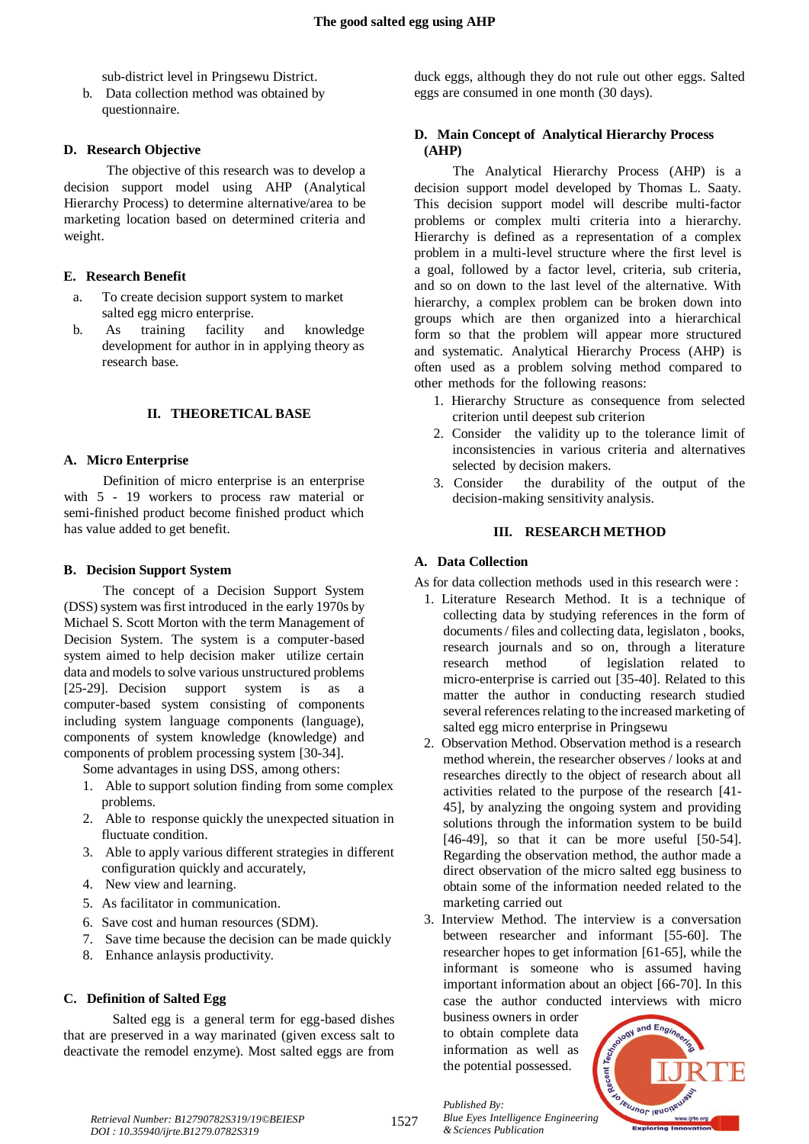sub-district level in Pringsewu District.

b. Data collection method was obtained by questionnaire.

# **D. Research Objective**

The objective of this research was to develop a decision support model using AHP (Analytical Hierarchy Process) to determine alternative/area to be marketing location based on determined criteria and weight.

# **E. Research Benefit**

- a. To create decision support system to market salted egg micro enterprise.
- b. As training facility and knowledge development for author in in applying theory as research base.

# **II. THEORETICAL BASE**

# **A. Micro Enterprise**

Definition of micro enterprise is an enterprise with 5 - 19 workers to process raw material or semi-finished product become finished product which has value added to get benefit.

# **B. Decision Support System**

The concept of a Decision Support System (DSS) system was first introduced in the early 1970s by Michael S. Scott Morton with the term Management of Decision System. The system is a computer-based system aimed to help decision maker utilize certain data and models to solve various unstructured problems [25-29]. Decision support system is as a computer-based system consisting of components including system language components (language), components of system knowledge (knowledge) and components of problem processing system [30-34].

Some advantages in using DSS, among others:

- 1. Able to support solution finding from some complex problems.
- 2. Able to response quickly the unexpected situation in fluctuate condition.
- 3. Able to apply various different strategies in different configuration quickly and accurately,
- 4. New view and learning.
- 5. As facilitator in communication.
- 6. Save cost and human resources (SDM).
- 7. Save time because the decision can be made quickly
- 8. Enhance anlaysis productivity.

# **C. Definition of Salted Egg**

Salted egg is a general term for egg-based dishes that are preserved in a way marinated (given excess salt to deactivate the remodel enzyme). Most salted eggs are from duck eggs, although they do not rule out other eggs. Salted eggs are consumed in one month (30 days).

# **D. Main Concept of Analytical Hierarchy Process (AHP)**

The Analytical Hierarchy Process (AHP) is a decision support model developed by Thomas L. Saaty. This decision support model will describe multi-factor problems or complex multi criteria into a hierarchy. Hierarchy is defined as a representation of a complex problem in a multi-level structure where the first level is a goal, followed by a factor level, criteria, sub criteria, and so on down to the last level of the alternative. With hierarchy, a complex problem can be broken down into groups which are then organized into a hierarchical form so that the problem will appear more structured and systematic. Analytical Hierarchy Process (AHP) is often used as a problem solving method compared to other methods for the following reasons:

- 1. Hierarchy Structure as consequence from selected criterion until deepest sub criterion
- 2. Consider the validity up to the tolerance limit of inconsistencies in various criteria and alternatives selected by decision makers.
- 3. Consider the durability of the output of the decision-making sensitivity analysis.

## **III. RESEARCH METHOD**

# **A. Data Collection**

As for data collection methods used in this research were :

- 1. Literature Research Method. It is a technique of collecting data by studying references in the form of documents / files and collecting data, legislaton , books, research journals and so on, through a literature research method of legislation related to micro-enterprise is carried out [35-40]. Related to this matter the author in conducting research studied several references relating to the increased marketing of salted egg micro enterprise in Pringsewu
- 2. Observation Method. Observation method is a research method wherein, the researcher observes / looks at and researches directly to the object of research about all activities related to the purpose of the research [41- 45], by analyzing the ongoing system and providing solutions through the information system to be build [46-49], so that it can be more useful [50-54]. Regarding the observation method, the author made a direct observation of the micro salted egg business to obtain some of the information needed related to the marketing carried out
- 3. Interview Method. The interview is a conversation between researcher and informant [55-60]. The researcher hopes to get information [61-65], while the informant is someone who is assumed having important information about an object [66-70]. In this case the author conducted interviews with micro

business owners in order to obtain complete data information as well as the potential possessed.



1527

*Published By: Blue Eyes Intelligence Engineering & Sciences Publication*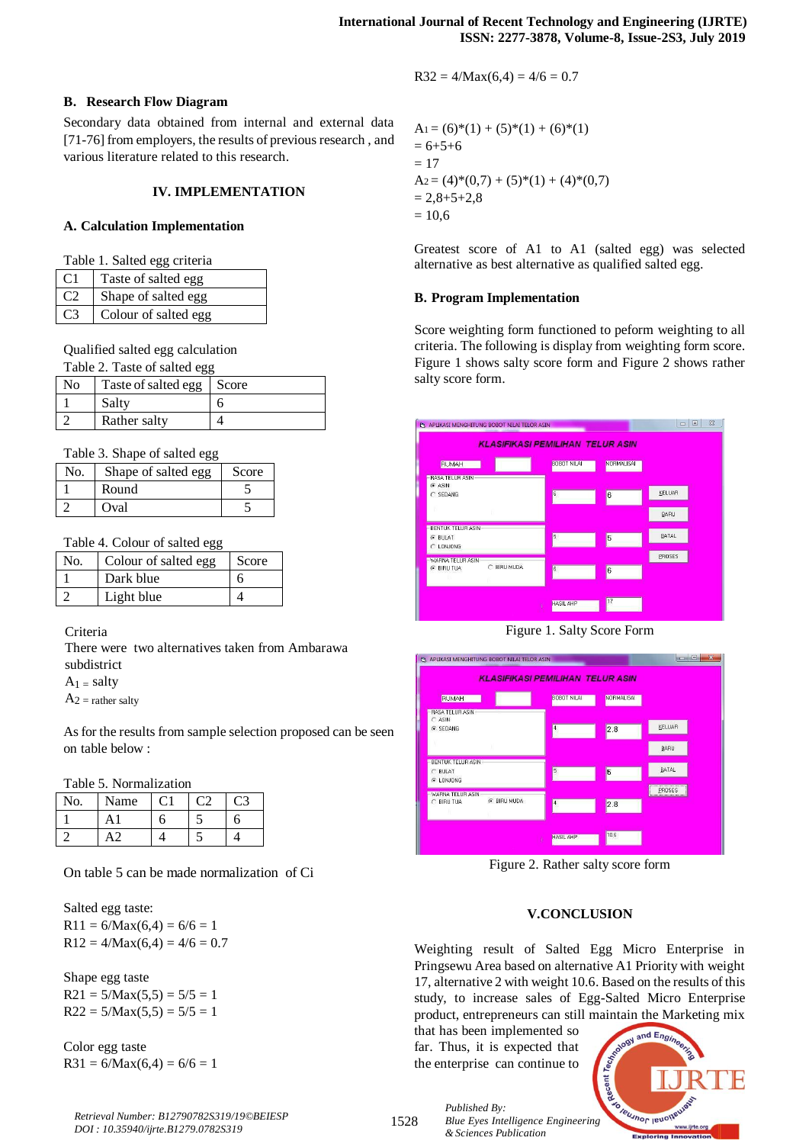# **B. Research Flow Diagram**

Secondary data obtained from internal and external data [71-76] from employers, the results of previous research , and various literature related to this research.

# **IV. IMPLEMENTATION**

## **A. Calculation Implementation**

|  |  |  |  | Table 1. Salted egg criteria |
|--|--|--|--|------------------------------|
|--|--|--|--|------------------------------|

| Taste of salted egg  |
|----------------------|
| Shape of salted egg  |
| Colour of salted egg |

Qualified salted egg calculation

| Table 2. Taste of salted egg |                             |   |  |
|------------------------------|-----------------------------|---|--|
| N <sub>0</sub>               | Taste of salted egg   Score |   |  |
|                              | Salty                       | h |  |
|                              | Rather salty                |   |  |

# Table 3. Shape of salted egg

| No. | Shape of salted egg | Score |
|-----|---------------------|-------|
|     | Round               |       |
|     | Oval                |       |

#### Table 4. Colour of salted egg

| No. | Colour of salted egg | Score |
|-----|----------------------|-------|
|     | Dark blue            |       |
|     | Light blue           |       |

# Criteria

There were two alternatives taken from Ambarawa subdistrict

 $A_1$  = salty

 $A_2$  = rather salty

As for the results from sample selection proposed can be seen on table below :

Table 5. Normalization

| No. | Name |  |  |
|-----|------|--|--|
|     |      |  |  |
|     |      |  |  |

On table 5 can be made normalization of Ci

Salted egg taste:  $R11 = 6/Max(6,4) = 6/6 = 1$  $R12 = 4/Max(6,4) = 4/6 = 0.7$ 

Shape egg taste  $R21 = 5/Max(5,5) = 5/5 = 1$  $R22 = 5/Max(5,5) = 5/5 = 1$ 

Color egg taste  $R31 = 6/Max(6,4) = 6/6 = 1$ 

$$
A1 = (6)*(1) + (5)*(1) + (6)*(1)
$$
  
= 6+5+6  
= 17  

$$
A2 = (4)*(0,7) + (5)*(1) + (4)*(0,7)
$$
  
= 2,8+5+2,8  
= 10,6

Greatest score of A1 to A1 (salted egg) was selected alternative as best alternative as qualified salted egg.

# **B. Program Implementation**

Score weighting form functioned to peform weighting to all criteria. The following is display from weighting form score. Figure 1 shows salty score form and Figure 2 shows rather salty score form.







Figure 2. Rather salty score form

# **V.CONCLUSION**

Weighting result of Salted Egg Micro Enterprise in Pringsewu Area based on alternative A1 Priority with weight 17, alternative 2 with weight 10.6. Based on the results of this study, to increase sales of Egg-Salted Micro Enterprise product, entrepreneurs can still maintain the Marketing mix

that has been implemented so far. Thus, it is expected that the enterprise can continue to

*& Sciences Publication* 

*Published By:*

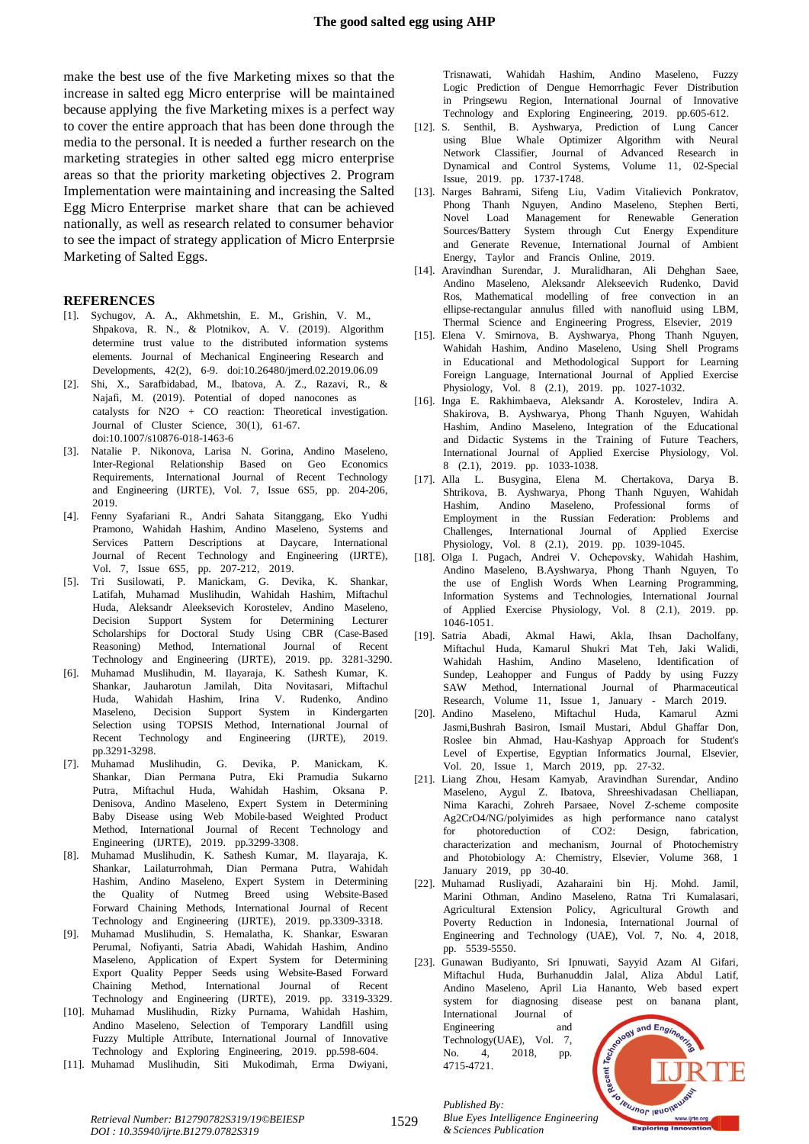make the best use of the five Marketing mixes so that the increase in salted egg Micro enterprise will be maintained because applying the five Marketing mixes is a perfect way to cover the entire approach that has been done through the media to the personal. It is needed a further research on the marketing strategies in other salted egg micro enterprise areas so that the priority marketing objectives 2. Program Implementation were maintaining and increasing the Salted Egg Micro Enterprise market share that can be achieved nationally, as well as research related to consumer behavior to see the impact of strategy application of Micro Enterprsie Marketing of Salted Eggs.

#### **REFERENCES**

- [1]. Sychugov, A. A., Akhmetshin, E. M., Grishin, V. M., Shpakova, R. N., & Plotnikov, A. V. (2019). Algorithm determine trust value to the distributed information systems elements. Journal of Mechanical Engineering Research and Developments, 42(2), 6-9. doi:10.26480/jmerd.02.2019.06.09
- [2]. Shi, X., Sarafbidabad, M., Ibatova, A. Z., Razavi, R., & Najafi, M. (2019). Potential of doped nanocones as catalysts for  $N2O + CO$  reaction: Theoretical investigation. Journal of Cluster Science,  $30(1)$ , 61-67. doi:10.1007/s10876-018-1463-6
- [3]. Natalie P. Nikonova, Larisa N. Gorina, Andino Maseleno, Inter-Regional Relationship Based on Geo Economics Requirements, International Journal of Recent Technology and Engineering (IJRTE), Vol. 7, Issue 6S5, pp. 204-206, 2019.T
- [4]. Fenny Syafariani R., Andri Sahata Sitanggang, Eko Yudhi Pramono, Wahidah Hashim, Andino Maseleno, Systems and Services Pattern Descriptions at Daycare, International Journal of Recent Technology and Engineering (IJRTE), Vol. 7, Issue 6S5, pp. 207-212, 2019.
- [5]. Tri Susilowati, P. Manickam, G. Devika, K. Shankar, Latifah, Muhamad Muslihudin, Wahidah Hashim, Miftachul Huda, Aleksandr Aleeksevich Korostelev, Andino Maseleno, Decision Support System for Determining Lecturer Scholarships for Doctoral Study Using CBR (Case-Based Reasoning) Method, International Journal of Recent Technology and Engineering (IJRTE), 2019. pp. 3281-3290.
- [6]. Muhamad Muslihudin, M. Ilayaraja, K. Sathesh Kumar, K. Shankar, Jauharotun Jamilah, Dita Novitasari, Miftachul Huda, Wahidah Hashim, Irina V. Rudenko, Andino Maseleno, Decision Support System in Kindergarten Selection using TOPSIS Method, International Journal of Recent Technology and Engineering (IJRTE), 2019. pp.3291-3298.
- [7]. Muhamad Muslihudin, G. Devika, P. Manickam, K. Shankar, Dian Permana Putra, Eki Pramudia Sukarno Putra, Miftachul Huda, Wahidah Hashim, Oksana P. Denisova, Andino Maseleno, Expert System in Determining Baby Disease using Web Mobile-based Weighted Product Method, International Journal of Recent Technology and Engineering (IJRTE), 2019. pp.3299-3308.
- [8]. Muhamad Muslihudin, K. Sathesh Kumar, M. Ilayaraja, K. Shankar, Lailaturrohmah, Dian Permana Putra, Wahidah Hashim, Andino Maseleno, Expert System in Determining the Quality of Nutmeg Breed using Website-Based Forward Chaining Methods, International Journal of Recent Technology and Engineering (IJRTE), 2019. pp.3309-3318.
- [9]. Muhamad Muslihudin, S. Hemalatha, K. Shankar, Eswaran Perumal, Nofiyanti, Satria Abadi, Wahidah Hashim, Andino Maseleno, Application of Expert System for Determining Export Quality Pepper Seeds using Website-Based Forward Chaining Method, International Journal of Recent Technology and Engineering (IJRTE), 2019. pp. 3319-3329.
- [10]. Muhamad Muslihudin, Rizky Purnama, Wahidah Hashim, Andino Maseleno, Selection of Temporary Landfill using Fuzzy Multiple Attribute, International Journal of Innovative Technology and Exploring Engineering, 2019. pp.598-604.
- [11]. Muhamad Muslihudin, Siti Mukodimah, Erma Dwiyani,

Trisnawati, Wahidah Hashim, Andino Maseleno, Fuzzy Logic Prediction of Dengue Hemorrhagic Fever Distribution in Pringsewu Region, International Journal of Innovative Technology and Exploring Engineering, 2019. pp.605-612.

- [12]. S. Senthil, B. Ayshwarya, Prediction of Lung Cancer using Blue Whale Optimizer Algorithm with Neural Network Classifier, Journal of Advanced Research in Dynamical and Control Systems, Volume 11, 02-Special Issue, 2019. pp. 1737-1748.
- [13]. Narges Bahrami, Sifeng Liu, Vadim Vitalievich Ponkratov, Phong Thanh Nguyen, Andino Maseleno, Stephen Berti, Novel Load Management for Renewable Generation Sources/Battery System through Cut Energy Expenditure and Generate Revenue, International Journal of Ambient Energy, Taylor and Francis Online, 2019.
- [14]. Aravindhan Surendar, J. Muralidharan, Ali Dehghan Saee, Andino Maseleno, Aleksandr Alekseevich Rudenko, David Ros, Mathematical modelling of free convection in an  $ellinse-rectangular$  annulus filled with nanofluid using LBM. Thermal Science and Engineering Progress, Elsevier, 2019
- [15]. Elena V. Smirnova, B. Ayshwarya, Phong Thanh Nguyen, Wahidah Hashim, Andino Maseleno, Using Shell Programs in Educational and Methodological Support for Learning Foreign Language, International Journal of Applied Exercise Physiology, Vol. 8 (2.1), 2019. pp. 1027-1032.
- [16]. Inga E. Rakhimbaeva, Aleksandr A. Korostelev, Indira A. Shakirova, B. Ayshwarya, Phong Thanh Nguyen, Wahidah Hashim, Andino Maseleno, Integration of the Educational and Didactic Systems in the Training of Future Teachers, International Journal of Applied Exercise Physiology, Vol. 8 (2.1), 2019. pp. 1033-1038.
- [17]. Alla L. Busygina, Elena M. Chertakova, Darya B. Shtrikova, B. Ayshwarya, Phong Thanh Nguyen, Wahidah Hashim, Andino Maseleno, Professional forms of Employment in the Russian Federation: Problems and Challenges, International Journal of Applied Exercise Physiology, Vol. 8 (2.1), 2019. pp. 1039-1045.
- [18]. Olga I. Pugach, Andrei V. Ochepovsky, Wahidah Hashim, Andino Maseleno, B.Ayshwarya, Phong Thanh Nguyen, To the use of English Words When Learning Programming, Information Systems and Technologies, International Journal of Applied Exercise Physiology, Vol. 8 (2.1), 2019. pp. 1046-1051.
- [19]. Satria Abadi, Akmal Hawi, Akla, Ihsan Dacholfany, Miftachul Huda, Kamarul Shukri Mat Teh, Jaki Walidi, Wahidah Hashim, Andino Maseleno, Identification of Sundep, Leahopper and Fungus of Paddy by using Fuzzy SAW Method, International Journal of Pharmaceutical Research, Volume 11, Issue 1, January - March 2019.
- [20]. Andino Maseleno, Miftachul Huda, Kamarul Azmi Jasmi,Bushrah Basiron, Ismail Mustari, Abdul Ghaffar Don, Roslee bin Ahmad, Hau-Kashyap Approach for Student's Level of Expertise, Egyptian Informatics Journal, Elsevier, Vol. 20, Issue 1, March 2019, pp. 27-32.
- [21]. Liang Zhou, Hesam Kamyab, Aravindhan Surendar, Andino Maseleno, Aygul Z. Ibatova, Shreeshivadasan Chelliapan, Nima Karachi, Zohreh Parsaee, Novel Z-scheme composite Ag2CrO4/NG/polyimides as high performance nano catalyst for photoreduction of CO2: Design, fabrication, characterization and mechanism, Journal of Photochemistry and Photobiology A: Chemistry, Elsevier, Volume 368, 1 January 2019, pp  $30-40$ .
- [22]. Muhamad Rusliyadi, Azaharaini bin Hj. Mohd. Jamil, Marini Othman, Andino Maseleno, Ratna Tri Kumalasari, Agricultural Extension Policy, Agricultural Growth and Poverty Reduction in Indonesia, International Journal of Engineering and Technology (UAE), Vol. 7, No. 4, 2018, pp. 5539-5550.

[23]. Gunawan Budiyanto, Sri Ipnuwati, Sayyid Azam Al Gifari, Miftachul Huda, Burhanuddin Jalal, Aliza Abdul Latif, Andino Maseleno, April Lia Hananto, Web based expert system for diagnosing disease pest on banana plant, International Journal of

Engineering and Technology(UAE), Vol. 7, No. 4, 2018, pp. 4715-4721.



*Retrieval Number: B12790782S319/19©BEIESP DOI : 10.35940/ijrte.B1279.0782S319*

1529

*Published By: Blue Eyes Intelligence Engineering & Sciences Publication*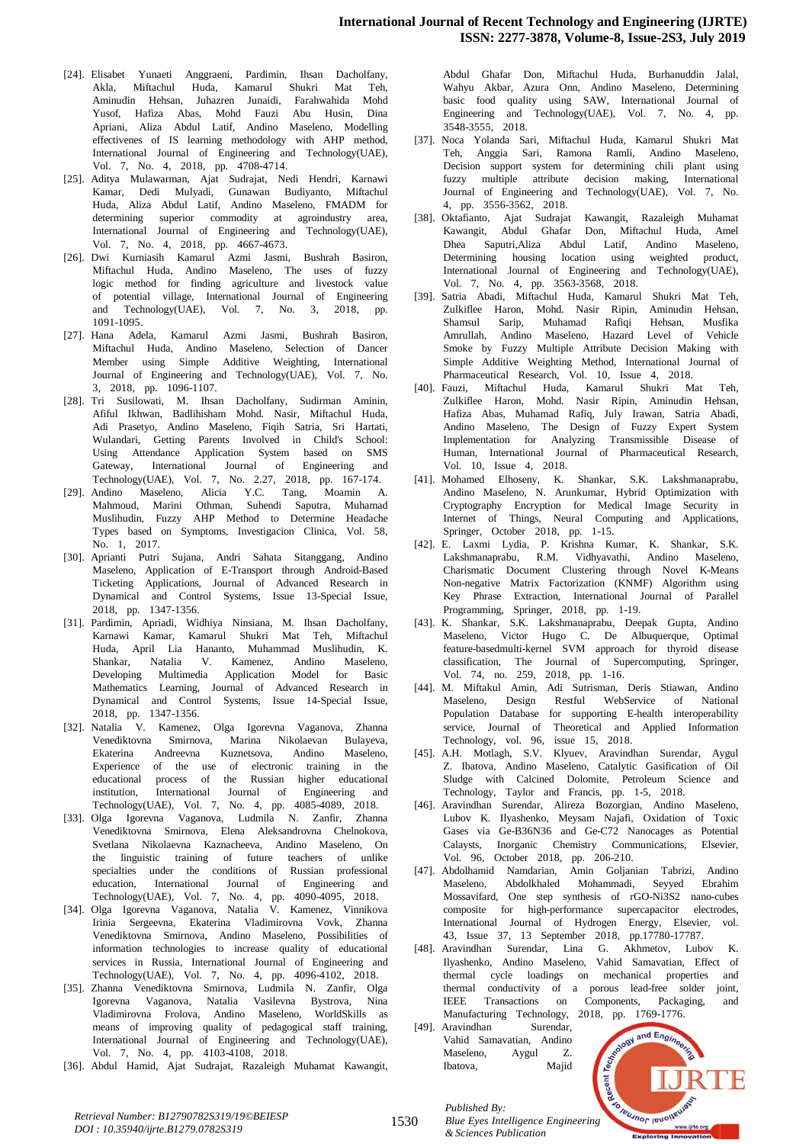- [24]. Elisabet Yunaeti Anggraeni, Pardimin, Ihsan Dacholfany, Akla, Miftachul Huda, Kamarul Shukri Mat Teh, Aminudin Hehsan, Juhazren Junaidi, Farahwahida Mohd Yusof, Hafiza Abas, Mohd Fauzi Abu Husin, Dina Apriani, Aliza Abdul Latif, Andino Maseleno, Modelling effectivenes of IS learning methodology with AHP method, International Journal of Engineering and Technology(UAE), Vol. 7, No. 4, 2018, pp. 4708-4714.
- [25]. Aditya Mulawarman, Ajat Sudrajat, Nedi Hendri, Karnawi Kamar, Dedi Mulyadi, Gunawan Budiyanto, Miftachul Huda, Aliza Abdul Latif, Andino Maseleno, FMADM for determining superior commodity at agroindustry area, International Journal of Engineering and Technology(UAE), Vol. 7, No. 4, 2018, pp. 4667-4673.
- [26]. Dwi Kurniasih Kamarul Azmi Jasmi, Bushrah Basiron, Miftachul Huda, Andino Maseleno, The uses of fuzzy logic method for finding agriculture and livestock value of potential village, International Journal of Engineering and Technology(UAE), Vol. 7, No. 3, 2018, pp. 1091-1095.T
- [27]. Hana Adela, Kamarul Azmi Jasmi, Bushrah Basiron, Miftachul Huda, Andino Maseleno, Selection of Dancer Member using Simple Additive Weighting, International Journal of Engineering and Technology(UAE), Vol. 7, No. 3, 2018, pp. 1096-1107.
- [28]. Tri Susilowati, M. Ihsan Dacholfany, Sudirman Aminin, Afiful Ikhwan, Badlihisham Mohd. Nasir, Miftachul Huda, Adi Prasetyo, Andino Maseleno, Fiqih Satria, Sri Hartati, Wulandari, Getting Parents Involved in Child's School: Using Attendance Application System based on SMS Gateway, International Journal of Engineering and Technology(UAE), Vol. 7, No. 2.27, 2018, pp. 167-174.
- [29]. Andino Maseleno, Alicia Y.C. Tang, Moamin A. Mahmoud, Marini Othman, Suhendi Saputra, Muhamad Muslihudin, Fuzzy AHP Method to Determine Headache Types based on Symptoms, Investigacion Clinica, Vol. 58, No. 1, 2017.
- [30]. Aprianti Putri Sujana, Andri Sahata Sitanggang, Andino Maseleno, Application of E-Transport through Android-Based Ticketing Applications, Journal of Advanced Research in Dynamical and Control Systems, Issue 13-Special Issue, 2018, pp. 1347-1356.
- [31]. Pardimin, Apriadi, Widhiya Ninsiana, M. Ihsan Dacholfany, Karnawi Kamar, Kamarul Shukri Mat Teh, Miftachul Huda, April Lia Hananto, Muhammad Muslihudin, K. Shankar, Natalia V. Kamenez, Andino Maseleno, Developing Multimedia Application Model for Basic Mathematics Learning, Journal of Advanced Research in Dynamical and Control Systems, Issue 14-Special Issue, 2018, pp. 1347-1356.
- [32]. Natalia V. Kamenez, Olga Igorevna Vaganova, Zhanna Venediktovna Smirnova, Marina Nikolaevan Bulayeva, Ekaterina Andreevna Kuznetsova, Andino Maseleno, Experience of the use of electronic training in the educational process of the Russian higher educational institution, International Journal of Engineering and Technology(UAE), Vol. 7, No. 4, pp. 4085-4089, 2018.
- [33]. Olga Igorevna Vaganova, Ludmila N. Zanfir, Zhanna Venediktovna Smirnova, Elena Aleksandrovna Chelnokova, Svetlana Nikolaevna Kaznacheeva, Andino Maseleno, On the linguistic training of future teachers of unlike specialties under the conditions of Russian professional education, International Journal of Engineering and Technology(UAE), Vol. 7, No. 4, pp. 4090-4095, 2018.
- [34]. Olga Igorevna Vaganova, Natalia V. Kamenez, Vinnikova Irinia Sergeevna, Ekaterina Vladimirovna Vovk, Zhanna Venediktovna Smirnova, Andino Maseleno, Possibilities of information technologies to increase quality of educational services in Russia, International Journal of Engineering and Technology(UAE), Vol. 7, No. 4, pp. 4096-4102, 2018.
- [35]. Zhanna Venediktovna Smirnova, Ludmila N. Zanfir, Olga Igorevna Vaganova, Natalia Vasilevna Bystrova, Nina Vladimirovna Frolova, Andino Maseleno, WorldSkills as means of improving quality of pedagogical staff training, International Journal of Engineering and Technology(UAE), Vol. 7, No. 4, pp. 4103-4108, 2018.
- [36]. Abdul Hamid, Ajat Sudrajat, Razaleigh Muhamat Kawangit,

Abdul Ghafar Don, Miftachul Huda, Burhanuddin Jalal, Wahyu Akbar, Azura Onn, Andino Maseleno, Determining basic food quality using SAW, International Journal of Engineering and Technology(UAE), Vol. 7, No. 4, pp. 3548-3555, 2018.

- [37]. Noca Yolanda Sari, Miftachul Huda, Kamarul Shukri Mat Teh, Anggia Sari, Ramona Ramli, Andino Maseleno, Decision support system for determining chili plant using fuzzy multiple attribute decision making, International Journal of Engineering and Technology(UAE), Vol. 7, No. 4, pp. 3556-3562, 2018.
- [38]. Oktafianto, Ajat Sudrajat Kawangit, Razaleigh Muhamat Kawangit, Abdul Ghafar Don, Miftachul Huda, Amel Dhea Saputri,Aliza Abdul Latif, Andino Maseleno, Determining housing location using weighted product, International Journal of Engineering and Technology(UAE), Vol. 7, No. 4, pp. 3563-3568, 2018.
- [39]. Satria Abadi, Miftachul Huda, Kamarul Shukri Mat Teh, Zulkiflee Haron, Mohd. Nasir Ripin, Aminudin Hehsan, Shamsul Sarip, Muhamad Rafiqi Hehsan, Musfika Amrullah, Andino Maseleno, Hazard Level of Vehicle Smoke by Fuzzy Multiple Attribute Decision Making with Simple Additive Weighting Method, International Journal of Pharmaceutical Research, Vol. 10, Issue 4, 2018.
- [40]. Fauzi, Miftachul Huda, Kamarul Shukri Mat Teh, Zulkiflee Haron, Mohd. Nasir Ripin, Aminudin Hehsan, Hafiza Abas, Muhamad Rafiq, July Irawan, Satria Abadi, Andino Maseleno, The Design of Fuzzy Expert System Implementation for Analyzing Transmissible Disease of Human, International Journal of Pharmaceutical Research, Vol. 10, Issue 4, 2018.
- [41]. Mohamed Elhoseny, K. Shankar, S.K. Lakshmanaprabu, Andino Maseleno, N. Arunkumar, Hybrid Optimization with Cryptography Encryption for Medical Image Security in Internet of Things, Neural Computing and Applications, Springer, October 2018, pp. 1-15.
- [42]. E. Laxmi Lydia, P. Krishna Kumar, K. Shankar, S.K. Lakshmanaprabu, R.M. Vidhyavathi, Andino Maseleno, Charismatic Document Clustering through Novel K-Means Non-negative Matrix Factorization (KNMF) Algorithm using Key Phrase Extraction, International Journal of Parallel Programming, Springer, 2018, pp. 1-19.
- [43]. K. Shankar, S.K. Lakshmanaprabu, Deepak Gupta, Andino Maseleno, Victor Hugo C. De Albuquerque, Optimal feature-basedmulti-kernel SVM approach for thyroid disease classification, The Journal of Supercomputing, Springer, Vol. 74, no. 259, 2018, pp. 1-16.
- [44]. M. Miftakul Amin, Adi Sutrisman, Deris Stiawan, Andino Maseleno, Design Restful WebService of National Population Database for supporting E-health interoperability service, Journal of Theoretical and Applied Information Technology, vol.  $96$ , issue  $15$ ,  $2018$ .
- [45]. A.H. Motlagh, S.V. Klyuev, Aravindhan Surendar, Aygul Z. Ibatova, Andino Maseleno, Catalytic Gasification of Oil Sludge with Calcined Dolomite, Petroleum Science and Technology, Taylor and Francis, pp. 1-5, 2018.
- [46]. Aravindhan Surendar, Alireza Bozorgian, Andino Maseleno, Lubov K. Ilyashenko, Meysam Najafi, Oxidation of Toxic Gases via Ge-B36N36 and Ge-C72 Nanocages as Potential Calaysts, Inorganic Chemistry Communications, Elsevier, Vol. 96, October 2018, pp. 206-210.
- [47]. Abdolhamid Namdarian, Amin Goljanian Tabrizi, Andino Maseleno, Abdolkhaled Mohammadi, Seyyed Ebrahim Mossavifard, One step synthesis of rGO-Ni3S2 nano-cubes composite for high-performance supercapacitor electrodes, International Journal of Hydrogen Energy, Elsevier, vol. 43, Issue 37, 13 September 2018, pp.17780-17787.
- [48]. Aravindhan Surendar, Lina G. Akhmetov, Lubov K. Ilyashenko, Andino Maseleno, Vahid Samavatian, Effect of thermal cycle loadings on mechanical properties and thermal conductivity of a porous lead-free solder joint, IEEE Transactions on Components, Packaging, and
- Manufacturing Technology, 2018, pp. 1769-1776.<br>Aravindhan Surendar, Vahid Samavatian, Andino<br>Maseleno, Aygul Z. Batova, [49]. Aravindhan Surendar, Vahid Samavatian, Andino Maseleno, Aygul Z. Ibatova, Majid

*Published By:*



*Retrieval Number: B12790782S319/19©BEIESP DOI : 10.35940/ijrte.B1279.0782S319*

1530

*Blue Eyes Intelligence Engineering & Sciences Publication*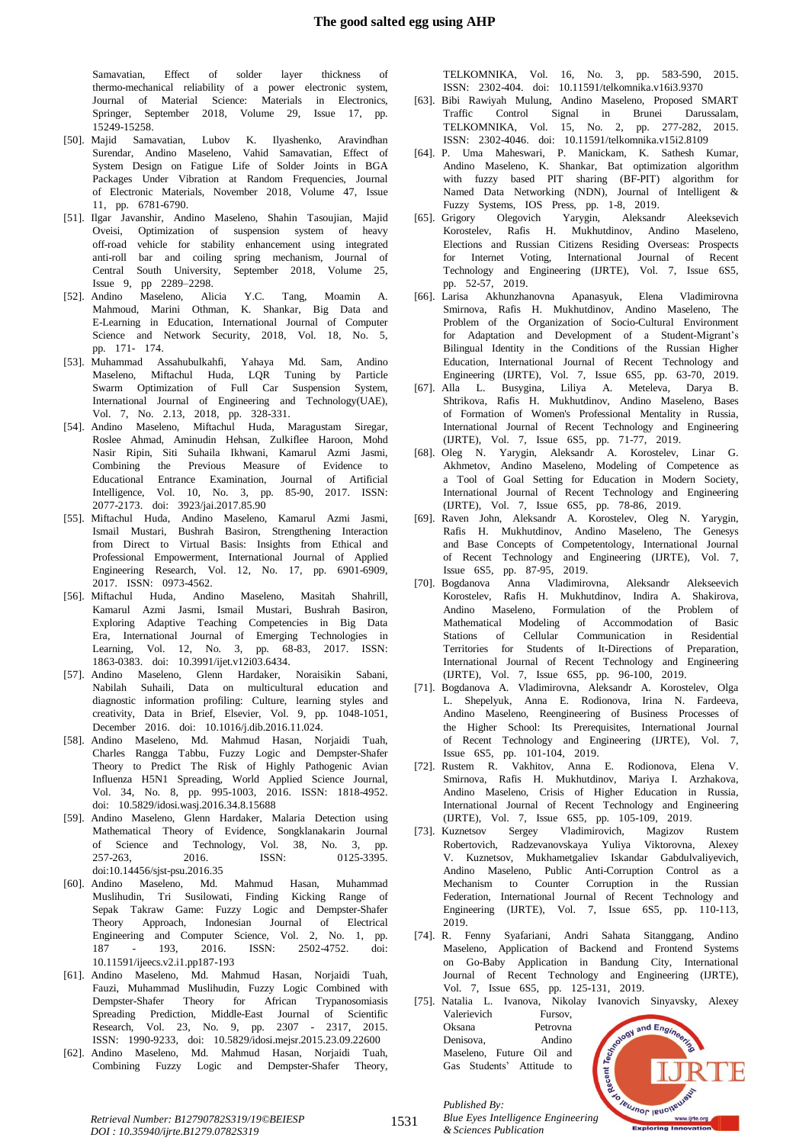Samavatian, Effect of solder layer thickness of thermo-mechanical reliability of a power electronic system, Journal of Material Science: Materials in Electronics, Springer, September 2018, Volume 29, Issue 17, pp. 15249-15258.

- [50]. Majid Samavatian, Lubov K. Ilyashenko, Aravindhan Surendar, Andino Maseleno, Vahid Samavatian, Effect of System Design on Fatigue Life of Solder Joints in BGA Packages Under Vibration at Random Frequencies, Journal of Electronic Materials, November 2018, Volume 47, Issue 11, pp. 6781-6790.
- [51]. Ilgar Javanshir, Andino Maseleno, Shahin Tasoujian, Majid Oveisi, Optimization of suspension system of heavy  $off$ -road vehicle for stability enhancement using integrated anti-roll bar and coiling spring mechanism, Journal of Central South University, September 2018, Volume 25, Issue 9, pp 2289–2298.
- [52]. Andino Maseleno, Alicia Y.C. Tang, Moamin A. Mahmoud, Marini Othman, K. Shankar, Big Data and E-Learning in Education, International Journal of Computer Science and Network Security, 2018, Vol. 18, No. 5, pp. 171- 174.
- [53]. Muhammad Assahubulkahfi, Yahaya Md. Sam, Andino Maseleno, Miftachul Huda, LQR Tuning by Particle Swarm Optimization of Full Car Suspension System, International Journal of Engineering and Technology(UAE), Vol. 7, No. 2.13, 2018, pp. 328-331.
- [54]. Andino Maseleno, Miftachul Huda, Maragustam Siregar, Roslee Ahmad, Aminudin Hehsan, Zulkiflee Haroon, Mohd Nasir Ripin, Siti Suhaila Ikhwani, Kamarul Azmi Jasmi, Combining the Previous Measure of Evidence to Educational Entrance Examination, Journal of Artificial Intelligence, Vol. 10, No. 3, pp. 85-90, 2017. ISSN: 2077-2173. doi: 3923/jai.2017.85.90
- [55]. Miftachul Huda, Andino Maseleno, Kamarul Azmi Jasmi, Ismail Mustari, Bushrah Basiron, Strengthening Interaction from Direct to Virtual Basis: Insights from Ethical and Professional Empowerment, International Journal of Applied Engineering Research, Vol. 12, No. 17, pp. 6901-6909, 2017. ISSN: 0973-4562.
- [56]. Miftachul Huda, Andino Maseleno, Masitah Shahrill, Kamarul Azmi Jasmi, Ismail Mustari, Bushrah Basiron, Exploring Adaptive Teaching Competencies in Big Data Era, International Journal of Emerging Technologies in Learning, Vol. 12, No. 3, pp. 68-83, 2017. ISSN: 1863-0383. doi: 10.3991/ijet.v12i03.6434.
- [57]. Andino Maseleno, Glenn Hardaker, Noraisikin Sabani, Nabilah Suhaili, Data on multicultural education and diagnostic information profiling: Culture, learning styles and creativity, Data in Brief, Elsevier, Vol. 9, pp. 1048-1051, December 2016. doi: 10.1016/j.dib.2016.11.024.
- [58]. Andino Maseleno, Md. Mahmud Hasan, Norjaidi Tuah, Charles Rangga Tabbu, Fuzzy Logic and Dempster-Shafer Theory to Predict The Risk of Highly Pathogenic Avian Influenza H5N1 Spreading, World Applied Science Journal, Vol. 34, No. 8, pp. 995-1003, 2016. ISSN: 1818-4952. doi: 10.5829/idosi.wasj.2016.34.8.15688
- [59]. Andino Maseleno, Glenn Hardaker, Malaria Detection using Mathematical Theory of Evidence, Songklanakarin Journal of Science and Technology, Vol. 38, No. 3, pp. 257-263, 2016. ISSN: 0125-3395. doi:10.14456/sjst-psu.2016.35
- [60]. Andino Maseleno, Md. Mahmud Hasan, Muhammad Muslihudin, Tri Susilowati, Finding Kicking Range of Sepak Takraw Game: Fuzzy Logic and Dempster-Shafer Theory Approach, Indonesian Journal of Electrical Engineering and Computer Science, Vol. 2, No. 1, pp. 187 - 193, 2016. ISSN: 2502-4752. doi: 10.11591/ijeecs.v2.i1.pp187-193
- [61]. Andino Maseleno, Md. Mahmud Hasan, Norjaidi Tuah, Fauzi, Muhammad Muslihudin, Fuzzy Logic Combined with Dempster-Shafer Theory for African Trypanosomiasis Spreading Prediction, Middle-East Journal of Scientific Research, Vol. 23, No. 9, pp. 2307 - 2317, 2015. ISSN: 1990-9233, doi: 10.5829/idosi.mejsr.2015.23.09.22600
- [62]. Andino Maseleno, Md. Mahmud Hasan, Norjaidi Tuah, Combining Fuzzy Logic and Dempster-Shafer Theory,

TELKOMNIKA, Vol. 16, No. 3, pp. 583-590, 2015. ISSN: 2302-404. doi: 10.11591/telkomnika.v16i3.9370

- [63]. Bibi Rawiyah Mulung, Andino Maseleno, Proposed SMART Traffic Control Signal in Brunei Darussalam, TELKOMNIKA, Vol. 15, No. 2, pp. 277-282, 2015. ISSN: 2302-4046. doi: 10.11591/telkomnika.v15i2.8109
- [64]. P. Uma Maheswari, P. Manickam, K. Sathesh Kumar, Andino Maseleno, K. Shankar, Bat optimization algorithm with fuzzy based PIT sharing (BF-PIT) algorithm for Named Data Networking (NDN), Journal of Intelligent & Fuzzy Systems, IOS Press, pp. 1-8, 2019.
- [65]. Grigory Olegovich Yarygin, Aleksandr Aleeksevich Korostelev, Rafis H. Mukhutdinov, Andino Maseleno, Elections and Russian Citizens Residing Overseas: Prospects for Internet Voting, International Journal of Recent Technology and Engineering (IJRTE), Vol. 7, Issue 6S5, pp. 52-57, 2019.
- [66]. Larisa Akhunzhanovna Apanasyuk, Elena Vladimirovna Smirnova, Rafis H. Mukhutdinov, Andino Maseleno, The Problem of the Organization of Socio-Cultural Environment for Adaptation and Development of a Student-Migrant's Bilingual Identity in the Conditions of the Russian Higher Education, International Journal of Recent Technology and Engineering (IJRTE), Vol. 7, Issue 6S5, pp. 63-70, 2019.
- [67]. Alla L. Busygina, Liliya A. Meteleva, Darya B. Shtrikova, Rafis H. Mukhutdinov, Andino Maseleno, Bases of Formation of Women's Professional Mentality in Russia, International Journal of Recent Technology and Engineering (IJRTE), Vol. 7, Issue 6S5, pp. 71-77, 2019.
- [68]. Oleg N. Yarygin, Aleksandr A. Korostelev, Linar G. Akhmetov, Andino Maseleno, Modeling of Competence as a Tool of Goal Setting for Education in Modern Society, International Journal of Recent Technology and Engineering (IJRTE), Vol. 7, Issue 6S5, pp. 78-86, 2019.
- [69]. Raven John, Aleksandr A. Korostelev, Oleg N. Yarygin, Rafis H. Mukhutdinov, Andino Maseleno, The Genesys and Base Concepts of Competentology, International Journal of Recent Technology and Engineering (IJRTE), Vol. 7, Issue 6S5, pp. 87-95, 2019.
- [70]. Bogdanova Anna Vladimirovna, Aleksandr Alekseevich Korostelev, Rafis H. Mukhutdinov, Indira A. Shakirova, Andino Maseleno, Formulation of the Problem of Mathematical Modeling of Accommodation of Basic Stations of Cellular Communication in Residential Territories for Students of It-Directions of Preparation, International Journal of Recent Technology and Engineering (IJRTE), Vol. 7, Issue 6S5, pp. 96-100, 2019.
- [71]. Bogdanova A. Vladimirovna, Aleksandr A. Korostelev, Olga L. Shepelyuk, Anna E. Rodionova, Irina N. Fardeeva, Andino Maseleno, Reengineering of Business Processes of the Higher School: Its Prerequisites, International Journal of Recent Technology and Engineering (IJRTE), Vol. 7, Issue 6S5, pp. 101-104, 2019.
- [72]. Rustem R. Vakhitov, Anna E. Rodionova, Elena V. Smirnova, Rafis H. Mukhutdinov, Mariya I. Arzhakova, Andino Maseleno, Crisis of Higher Education in Russia, International Journal of Recent Technology and Engineering (IJRTE), Vol. 7, Issue 6S5, pp. 105-109, 2019.
- [73]. Kuznetsov Sergey Vladimirovich, Magizov Rustem Robertovich, Radzevanovskaya Yuliya Viktorovna, Alexey V. Kuznetsov, Mukhametgaliev Iskandar Gabdulvaliyevich, Andino Maseleno, Public Anti-Corruption Control as a Mechanism to Counter Corruption in the Russian Federation, International Journal of Recent Technology and Engineering (IJRTE), Vol. 7, Issue 6S5, pp. 110-113, 2019.T
- [74]. R. Fenny Syafariani, Andri Sahata Sitanggang, Andino Maseleno, Application of Backend and Frontend Systems on Go-Baby Application in Bandung City, International Journal of Recent Technology and Engineering (IJRTE), Vol. 7, Issue 6S5, pp. 125-131, 2019.
- [75]. Natalia L. Ivanova, Nikolay Ivanovich Sinyavsky, Alexey Valerievich Fursov,<br>
Oksana Petrovna Denisova, Andino Maseleno, Future Oil and Gas St. Valerievich Fursov, Oksana Petrovna Denisova, Andino Maseleno, Future Oil and Gas Students' Attitude to



*Retrieval Number: B12790782S319/19©BEIESP DOI : 10.35940/ijrte.B1279.0782S319*

1531

*Published By: Blue Eyes Intelligence Engineering & Sciences Publication*